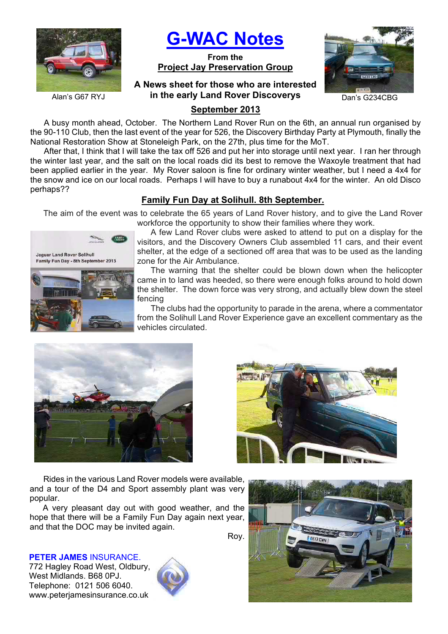

**G-WAC Notes**

**From the Project Jay Preservation Group**

## **A News sheet for those who are interested**  Alan's G67 RYJ **in the early Land Rover Discoverys** Dan's G234CBG



# **September 2013**

A busy month ahead, October. The Northern Land Rover Run on the 6th, an annual run organised by the 90-110 Club, then the last event of the year for 526, the Discovery Birthday Party at Plymouth, finally the National Restoration Show at Stoneleigh Park, on the 27th, plus time for the MoT.

After that, I think that I will take the tax off 526 and put her into storage until next year. I ran her through the winter last year, and the salt on the local roads did its best to remove the Waxoyle treatment that had been applied earlier in the year. My Rover saloon is fine for ordinary winter weather, but I need a 4x4 for the snow and ice on our local roads. Perhaps I will have to buy a runabout 4x4 for the winter. An old Disco perhaps??

# **Family Fun Day at Solihull. 8th September.**

The aim of the event was to celebrate the 65 years of Land Rover history, and to give the Land Rover workforce the opportunity to show their families where they work.



A few Land Rover clubs were asked to attend to put on a display for the visitors, and the Discovery Owners Club assembled 11 cars, and their event shelter, at the edge of a sectioned off area that was to be used as the landing zone for the Air Ambulance.

The warning that the shelter could be blown down when the helicopter came in to land was heeded, so there were enough folks around to hold down the shelter. The down force was very strong, and actually blew down the steel fencing

The clubs had the opportunity to parade in the arena, where a commentator from the Solihull Land Rover Experience gave an excellent commentary as the vehicles circulated.



Rides in the various Land Rover models were available, and a tour of the D4 and Sport assembly plant was very popular.

A very pleasant day out with good weather, and the hope that there will be a Family Fun Day again next year, and that the DOC may be invited again.

**PETER JAMES** INSURANCE. 772 Hagley Road West, Oldbury, West Midlands. B68 0PJ. Telephone: 0121 506 6040. www.peterjamesinsurance.co.uk





Roy.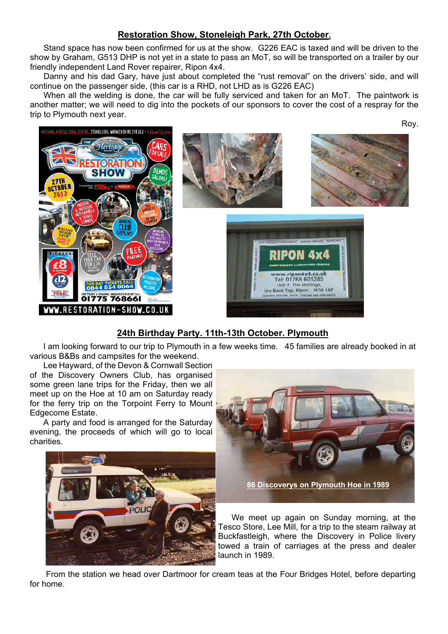# **Restoration Show, Stoneleigh Park, 27th October.**

Stand space has now been confirmed for us at the show. G226 EAC is taxed and will be driven to the show by Graham, G513 DHP is not yet in a state to pass an MoT, so will be transported on a trailer by our friendly independent Land Rover repairer, Ripon 4x4.

Danny and his dad Gary, have just about completed the "rust removal" on the drivers' side, and will continue on the passenger side, (this car is a RHD, not LHD as is G226 EAC)

When all the welding is done, the car will be fully serviced and taken for an MoT. The paintwork is another matter; we will need to dig into the pockets of our sponsors to cover the cost of a respray for the trip to Plymouth next year.



# **24th Birthday Party. 11th-13th October. Plymouth**

I am looking forward to our trip to Plymouth in a few weeks time. 45 families are already booked in at various B&Bs and campsites for the weekend.

Lee Hayward, of the Devon & Cornwall Section of the Discovery Owners Club, has organised some green lane trips for the Friday, then we all meet up on the Hoe at 10 am on Saturday ready for the ferry trip on the Torpoint Ferry to Mount Edgecome Estate.

A party and food is arranged for the Saturday evening, the proceeds of which will go to local charities.





Roy.

We meet up again on Sunday morning, at the Tesco Store, Lee Mill, for a trip to the steam railway at Buckfastleigh, where the Discovery in Police livery towed a train of carriages at the press and dealer launch in 1989.

 From the station we head over Dartmoor for cream teas at the Four Bridges Hotel, before departing for home.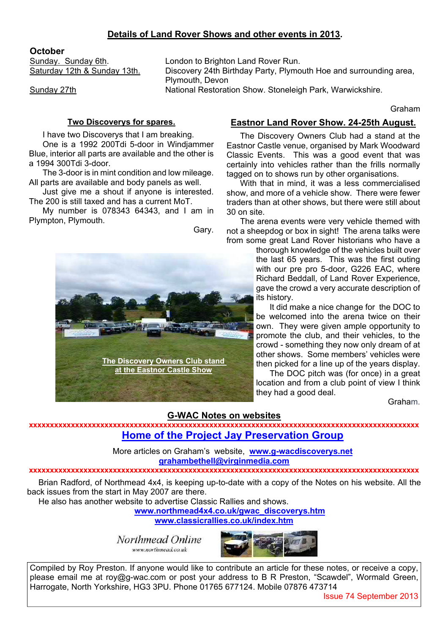## **Details of Land Rover Shows and other events in 2013.**

## **October**

Sunday. Sunday 6th.<br>
Saturday 12th & Sunday 13th. 
London to Brighton Land Rover Run.<br>
Discovery 24th Birthday Party, Plymo Discovery 24th Birthday Party, Plymouth Hoe and surrounding area, Plymouth, Devon Sunday 27th **National Restoration Show. Stoneleigh Park, Warwickshire.** 

Graham

### **Two Discoverys for spares.**

I have two Discoverys that I am breaking.

One is a 1992 200Tdi 5-door in Windjammer Blue, interior all parts are available and the other is a 1994 300Tdi 3-door.

The 3-door is in mint condition and low mileage. All parts are available and body panels as well.

Just give me a shout if anyone is interested. The 200 is still taxed and has a current MoT.

My number is 078343 64343, and I am in Plympton, Plymouth.

Gary.



## **Eastnor Land Rover Show. 24-25th August.**

The Discovery Owners Club had a stand at the Eastnor Castle venue, organised by Mark Woodward Classic Events. This was a good event that was certainly into vehicles rather than the frills normally tagged on to shows run by other organisations.

With that in mind, it was a less commercialised show, and more of a vehicle show. There were fewer traders than at other shows, but there were still about 30 on site.

The arena events were very vehicle themed with not a sheepdog or box in sight! The arena talks were from some great Land Rover historians who have a

thorough knowledge of the vehicles built over the last 65 years. This was the first outing with our pre pro 5-door, G226 EAC, where Richard Beddall, of Land Rover Experience, gave the crowd a very accurate description of its history.

It did make a nice change for the DOC to be welcomed into the arena twice on their own. They were given ample opportunity to promote the club, and their vehicles, to the crowd - something they now only dream of at other shows. Some members' vehicles were then picked for a line up of the years display.

The DOC pitch was (for once) in a great location and from a club point of view I think they had a good deal.

Graham.

## **G-WAC Notes on websites**

**xxxxxxxxxxxxxxxxxxxxxxxxxxxxxxxxxxxxxxxxxxxxxxxxxxxxxxxxxxxxxxxxxxxxxxxxxxxxxxxxxxxxxxxxxxxxx Home of the Project Jay Preservation Group**

> More articles on Graham's website, **www.g-wacdiscoverys.net grahambethell@virginmedia.com**

#### **xxxxxxxxxxxxxxxxxxxxxxxxxxxxxxxxxxxxxxxxxxxxxxxxxxxxxxxxxxxxxxxxxxxxxxxxxxxxxxxxxxxxxxxxxxxxx**

Brian Radford, of Northmead 4x4, is keeping up-to-date with a copy of the Notes on his website. All the back issues from the start in May 2007 are there.

He also has another website to advertise Classic Rallies and shows.

**www.northmead4x4.co.uk/gwac\_discoverys.htm**

**www.classicrallies.co.uk/index.htm**

Northmead Online www.northmead.co.uk



Compiled by Roy Preston. If anyone would like to contribute an article for these notes, or receive a copy, please email me at roy@g-wac.com or post your address to B R Preston, "Scawdel", Wormald Green, Harrogate, North Yorkshire, HG3 3PU. Phone 01765 677124. Mobile 07876 473714

Issue 74 September 2013